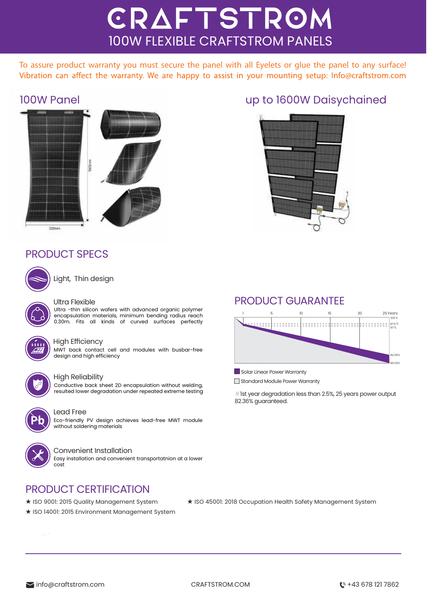# CRAFTSTROM 100W FLEXIBLE CRAFTSTROM PANELS

To assure product warranty you must secure the panel with all Eyelets or glue the panel to any surface! Vibration can affect the warranty. We are happy to assist in your mounting setup: Info@craftstrom.com



## P RODUCT SPECS



Light, Thin design

#### Ultra Flexible

Ultra -thin silicon wafers with advanced organic polymer encapsulation materials, minimum bending radius reach 0.30m. Fits all kinds of curved surfaces perfectly



#### High Efficiency

MWT back contact cell and modules with busbar-free design and high efficiency



### High Reliability

Conductive back sheet 2D encapsulation without welding, resulted lower degradation under repeated extreme testing



### Lead Free

Eco-friendly PV design achieves lead-free MWT module without soldering materials



#### Convenient Installation

Easy installation and convenient transportatnion at a lower cost

## PRODUCT CERTIFICATION

- ★ ISO 9001: 2015 Quality Management System
- ★ ISO 14001: 2015 Environment Management System

100W Panel up to 1600W Daisychained



### PRODUCT GUARANTEE



Solar Linear Power Warranty

Standard Module Power Warranty

※1st year degradation less than 2.5%, 25 years power output 82.36% guaranteed.

#### ★ ISO 45001: 2018 Occupation Health Safety Management System